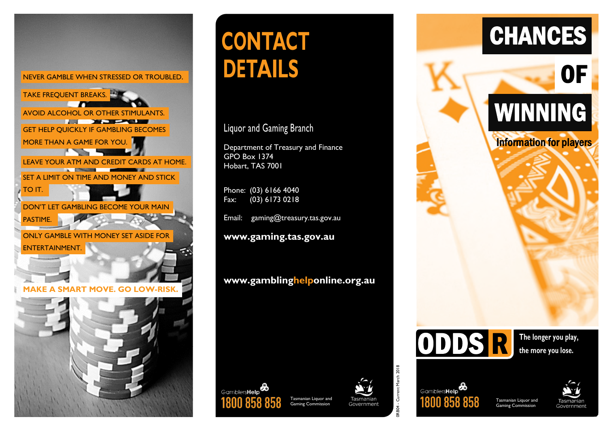



# **CONTACT DETAILS**

Liquor and Gaming Branch

Department of Treasury and Finance GPO Box 1374 Hobart, TAS 7001

Phone: (03) 6166 4040 Fax: (03) 6173 0218

Gamblers**Help** 

Email: [gaming@treasury.tas.gov.au](mailto:gaming@treasury.tas.gov.au)

**[www.gaming.tas.gov.au](http://www.gaming.tas.gov.au/)**

**[www.gamblinghelponline.org.au](http://www.gamblinghelponline.org.au/)**











ODDS R

**The longer you play, the more you lose.** 

# OF WINNING

**CHANCES** 

Information for players